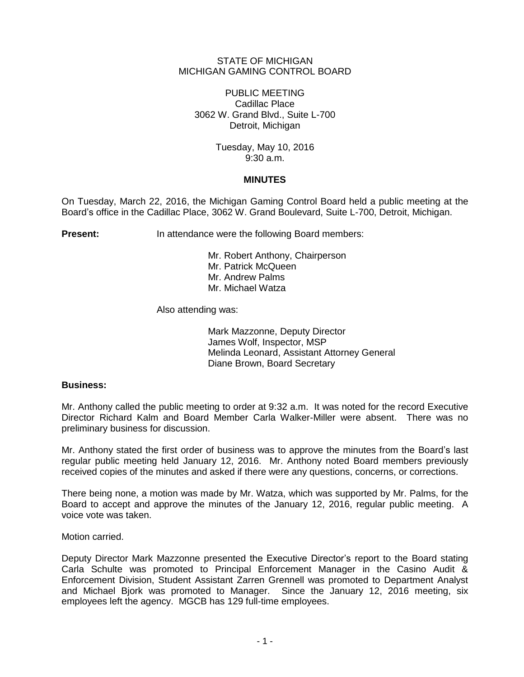## STATE OF MICHIGAN MICHIGAN GAMING CONTROL BOARD

PUBLIC MEETING Cadillac Place 3062 W. Grand Blvd., Suite L-700 Detroit, Michigan

> Tuesday, May 10, 2016 9:30 a.m.

## **MINUTES**

On Tuesday, March 22, 2016, the Michigan Gaming Control Board held a public meeting at the Board's office in the Cadillac Place, 3062 W. Grand Boulevard, Suite L-700, Detroit, Michigan.

**Present:** In attendance were the following Board members:

Mr. Robert Anthony, Chairperson Mr. Patrick McQueen Mr. Andrew Palms Mr. Michael Watza

Also attending was:

Mark Mazzonne, Deputy Director James Wolf, Inspector, MSP Melinda Leonard, Assistant Attorney General Diane Brown, Board Secretary

# **Business:**

Mr. Anthony called the public meeting to order at 9:32 a.m. It was noted for the record Executive Director Richard Kalm and Board Member Carla Walker-Miller were absent. There was no preliminary business for discussion.

Mr. Anthony stated the first order of business was to approve the minutes from the Board's last regular public meeting held January 12, 2016. Mr. Anthony noted Board members previously received copies of the minutes and asked if there were any questions, concerns, or corrections.

There being none, a motion was made by Mr. Watza, which was supported by Mr. Palms, for the Board to accept and approve the minutes of the January 12, 2016, regular public meeting. A voice vote was taken.

Motion carried.

Deputy Director Mark Mazzonne presented the Executive Director's report to the Board stating Carla Schulte was promoted to Principal Enforcement Manager in the Casino Audit & Enforcement Division, Student Assistant Zarren Grennell was promoted to Department Analyst and Michael Bjork was promoted to Manager. Since the January 12, 2016 meeting, six employees left the agency. MGCB has 129 full-time employees.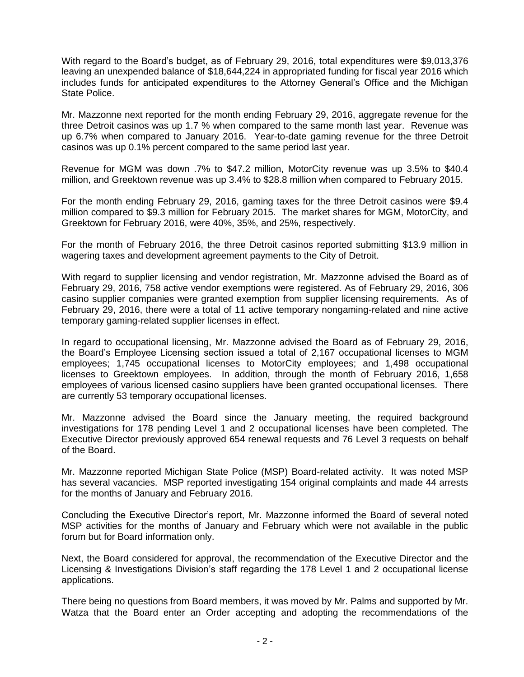With regard to the Board's budget, as of February 29, 2016, total expenditures were \$9,013,376 leaving an unexpended balance of \$18,644,224 in appropriated funding for fiscal year 2016 which includes funds for anticipated expenditures to the Attorney General's Office and the Michigan State Police.

Mr. Mazzonne next reported for the month ending February 29, 2016, aggregate revenue for the three Detroit casinos was up 1.7 % when compared to the same month last year. Revenue was up 6.7% when compared to January 2016. Year-to-date gaming revenue for the three Detroit casinos was up 0.1% percent compared to the same period last year.

Revenue for MGM was down .7% to \$47.2 million, MotorCity revenue was up 3.5% to \$40.4 million, and Greektown revenue was up 3.4% to \$28.8 million when compared to February 2015.

For the month ending February 29, 2016, gaming taxes for the three Detroit casinos were \$9.4 million compared to \$9.3 million for February 2015. The market shares for MGM, MotorCity, and Greektown for February 2016, were 40%, 35%, and 25%, respectively.

For the month of February 2016, the three Detroit casinos reported submitting \$13.9 million in wagering taxes and development agreement payments to the City of Detroit.

With regard to supplier licensing and vendor registration, Mr. Mazzonne advised the Board as of February 29, 2016, 758 active vendor exemptions were registered. As of February 29, 2016, 306 casino supplier companies were granted exemption from supplier licensing requirements. As of February 29, 2016, there were a total of 11 active temporary nongaming-related and nine active temporary gaming-related supplier licenses in effect.

In regard to occupational licensing, Mr. Mazzonne advised the Board as of February 29, 2016, the Board's Employee Licensing section issued a total of 2,167 occupational licenses to MGM employees; 1,745 occupational licenses to MotorCity employees; and 1,498 occupational licenses to Greektown employees. In addition, through the month of February 2016, 1,658 employees of various licensed casino suppliers have been granted occupational licenses. There are currently 53 temporary occupational licenses.

Mr. Mazzonne advised the Board since the January meeting, the required background investigations for 178 pending Level 1 and 2 occupational licenses have been completed. The Executive Director previously approved 654 renewal requests and 76 Level 3 requests on behalf of the Board.

Mr. Mazzonne reported Michigan State Police (MSP) Board-related activity. It was noted MSP has several vacancies. MSP reported investigating 154 original complaints and made 44 arrests for the months of January and February 2016.

Concluding the Executive Director's report, Mr. Mazzonne informed the Board of several noted MSP activities for the months of January and February which were not available in the public forum but for Board information only.

Next, the Board considered for approval, the recommendation of the Executive Director and the Licensing & Investigations Division's staff regarding the 178 Level 1 and 2 occupational license applications.

There being no questions from Board members, it was moved by Mr. Palms and supported by Mr. Watza that the Board enter an Order accepting and adopting the recommendations of the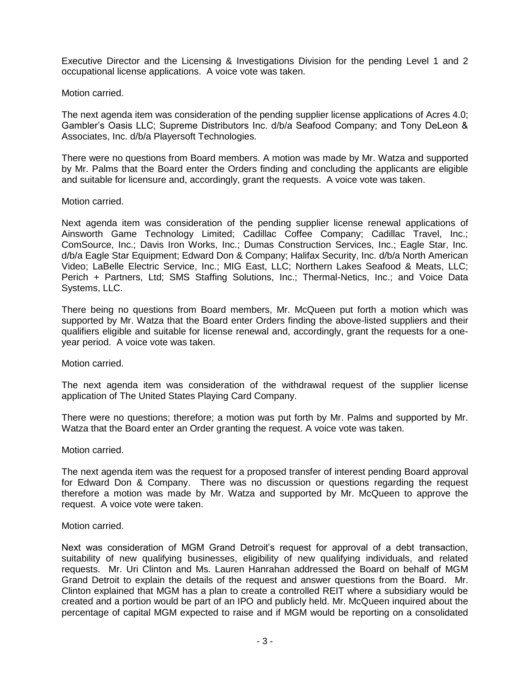Executive Director and the Licensing & Investigations Division for the pending Level 1 and 2 occupational license applications. A voice vote was taken.

## Motion carried.

The next agenda item was consideration of the pending supplier license applications of Acres 4.0; Gambler's Oasis LLC; Supreme Distributors Inc. d/b/a Seafood Company; and Tony DeLeon & Associates, Inc. d/b/a Playersoft Technologies.

There were no questions from Board members. A motion was made by Mr. Watza and supported by Mr. Palms that the Board enter the Orders finding and concluding the applicants are eligible and suitable for licensure and, accordingly, grant the requests. A voice vote was taken.

## Motion carried.

Next agenda item was consideration of the pending supplier license renewal applications of Ainsworth Game Technology Limited; Cadillac Coffee Company; Cadillac Travel, Inc.; ComSource, Inc.; Davis Iron Works, Inc.; Dumas Construction Services, Inc.; Eagle Star, Inc. d/b/a Eagle Star Equipment; Edward Don & Company; Halifax Security, Inc. d/b/a North American Video; LaBelle Electric Service, Inc.; MIG East, LLC; Northern Lakes Seafood & Meats, LLC; Perich + Partners, Ltd; SMS Staffing Solutions, Inc.; Thermal-Netics, Inc.; and Voice Data Systems, LLC.

There being no questions from Board members, Mr. McQueen put forth a motion which was supported by Mr. Watza that the Board enter Orders finding the above-listed suppliers and their qualifiers eligible and suitable for license renewal and, accordingly, grant the requests for a oneyear period. A voice vote was taken.

Motion carried.

The next agenda item was consideration of the withdrawal request of the supplier license application of The United States Playing Card Company.

There were no questions; therefore; a motion was put forth by Mr. Palms and supported by Mr. Watza that the Board enter an Order granting the request. A voice vote was taken.

## Motion carried.

The next agenda item was the request for a proposed transfer of interest pending Board approval for Edward Don & Company. There was no discussion or questions regarding the request therefore a motion was made by Mr. Watza and supported by Mr. McQueen to approve the request. A voice vote were taken.

## Motion carried.

Next was consideration of MGM Grand Detroit's request for approval of a debt transaction, suitability of new qualifying businesses, eligibility of new qualifying individuals, and related requests. Mr. Uri Clinton and Ms. Lauren Hanrahan addressed the Board on behalf of MGM Grand Detroit to explain the details of the request and answer questions from the Board. Mr. Clinton explained that MGM has a plan to create a controlled REIT where a subsidiary would be created and a portion would be part of an IPO and publicly held. Mr. McQueen inquired about the percentage of capital MGM expected to raise and if MGM would be reporting on a consolidated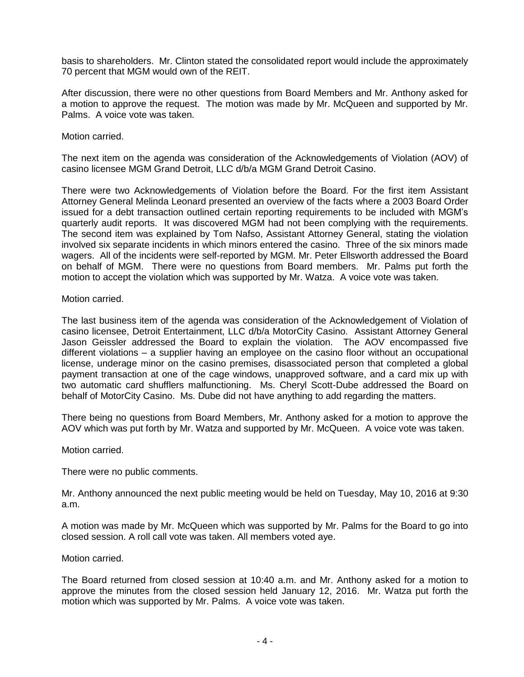basis to shareholders. Mr. Clinton stated the consolidated report would include the approximately 70 percent that MGM would own of the REIT.

After discussion, there were no other questions from Board Members and Mr. Anthony asked for a motion to approve the request. The motion was made by Mr. McQueen and supported by Mr. Palms. A voice vote was taken.

Motion carried.

The next item on the agenda was consideration of the Acknowledgements of Violation (AOV) of casino licensee MGM Grand Detroit, LLC d/b/a MGM Grand Detroit Casino.

There were two Acknowledgements of Violation before the Board. For the first item Assistant Attorney General Melinda Leonard presented an overview of the facts where a 2003 Board Order issued for a debt transaction outlined certain reporting requirements to be included with MGM's quarterly audit reports. It was discovered MGM had not been complying with the requirements. The second item was explained by Tom Nafso, Assistant Attorney General, stating the violation involved six separate incidents in which minors entered the casino. Three of the six minors made wagers. All of the incidents were self-reported by MGM. Mr. Peter Ellsworth addressed the Board on behalf of MGM. There were no questions from Board members. Mr. Palms put forth the motion to accept the violation which was supported by Mr. Watza. A voice vote was taken.

Motion carried.

The last business item of the agenda was consideration of the Acknowledgement of Violation of casino licensee, Detroit Entertainment, LLC d/b/a MotorCity Casino. Assistant Attorney General Jason Geissler addressed the Board to explain the violation. The AOV encompassed five different violations – a supplier having an employee on the casino floor without an occupational license, underage minor on the casino premises, disassociated person that completed a global payment transaction at one of the cage windows, unapproved software, and a card mix up with two automatic card shufflers malfunctioning. Ms. Cheryl Scott-Dube addressed the Board on behalf of MotorCity Casino. Ms. Dube did not have anything to add regarding the matters.

There being no questions from Board Members, Mr. Anthony asked for a motion to approve the AOV which was put forth by Mr. Watza and supported by Mr. McQueen. A voice vote was taken.

Motion carried.

There were no public comments.

Mr. Anthony announced the next public meeting would be held on Tuesday, May 10, 2016 at 9:30 a.m.

A motion was made by Mr. McQueen which was supported by Mr. Palms for the Board to go into closed session. A roll call vote was taken. All members voted aye.

Motion carried.

The Board returned from closed session at 10:40 a.m. and Mr. Anthony asked for a motion to approve the minutes from the closed session held January 12, 2016. Mr. Watza put forth the motion which was supported by Mr. Palms. A voice vote was taken.